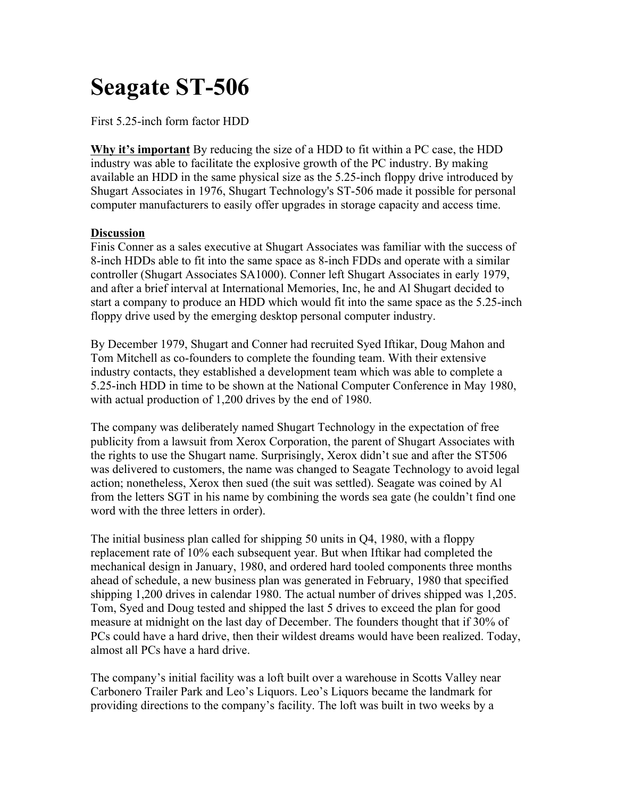## **Seagate ST-506**

First 5.25-inch form factor HDD

**Why it's important** By reducing the size of a HDD to fit within a PC case, the HDD industry was able to facilitate the explosive growth of the PC industry. By making available an HDD in the same physical size as the 5.25-inch floppy drive introduced by Shugart Associates in 1976, Shugart Technology's ST-506 made it possible for personal computer manufacturers to easily offer upgrades in storage capacity and access time.

## **Discussion**

Finis Conner as a sales executive at Shugart Associates was familiar with the success of 8-inch HDDs able to fit into the same space as 8-inch FDDs and operate with a similar controller (Shugart Associates SA1000). Conner left Shugart Associates in early 1979, and after a brief interval at International Memories, Inc, he and Al Shugart decided to start a company to produce an HDD which would fit into the same space as the 5.25-inch floppy drive used by the emerging desktop personal computer industry.

By December 1979, Shugart and Conner had recruited Syed Iftikar, Doug Mahon and Tom Mitchell as co-founders to complete the founding team. With their extensive industry contacts, they established a development team which was able to complete a 5.25-inch HDD in time to be shown at the National Computer Conference in May 1980, with actual production of 1,200 drives by the end of 1980.

The company was deliberately named Shugart Technology in the expectation of free publicity from a lawsuit from Xerox Corporation, the parent of Shugart Associates with the rights to use the Shugart name. Surprisingly, Xerox didn't sue and after the ST506 was delivered to customers, the name was changed to Seagate Technology to avoid legal action; nonetheless, Xerox then sued (the suit was settled). Seagate was coined by Al from the letters SGT in his name by combining the words sea gate (he couldn't find one word with the three letters in order).

The initial business plan called for shipping 50 units in Q4, 1980, with a floppy replacement rate of 10% each subsequent year. But when Iftikar had completed the mechanical design in January, 1980, and ordered hard tooled components three months ahead of schedule, a new business plan was generated in February, 1980 that specified shipping 1,200 drives in calendar 1980. The actual number of drives shipped was 1,205. Tom, Syed and Doug tested and shipped the last 5 drives to exceed the plan for good measure at midnight on the last day of December. The founders thought that if 30% of PCs could have a hard drive, then their wildest dreams would have been realized. Today, almost all PCs have a hard drive.

The company's initial facility was a loft built over a warehouse in Scotts Valley near Carbonero Trailer Park and Leo's Liquors. Leo's Liquors became the landmark for providing directions to the company's facility. The loft was built in two weeks by a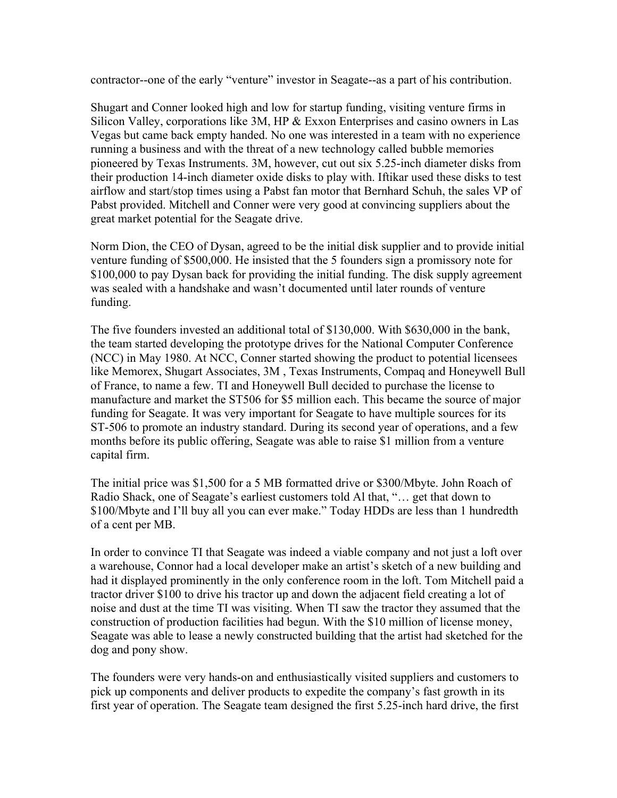contractor--one of the early "venture" investor in Seagate--as a part of his contribution.

Shugart and Conner looked high and low for startup funding, visiting venture firms in Silicon Valley, corporations like 3M, HP & Exxon Enterprises and casino owners in Las Vegas but came back empty handed. No one was interested in a team with no experience running a business and with the threat of a new technology called bubble memories pioneered by Texas Instruments. 3M, however, cut out six 5.25-inch diameter disks from their production 14-inch diameter oxide disks to play with. Iftikar used these disks to test airflow and start/stop times using a Pabst fan motor that Bernhard Schuh, the sales VP of Pabst provided. Mitchell and Conner were very good at convincing suppliers about the great market potential for the Seagate drive.

Norm Dion, the CEO of Dysan, agreed to be the initial disk supplier and to provide initial venture funding of \$500,000. He insisted that the 5 founders sign a promissory note for \$100,000 to pay Dysan back for providing the initial funding. The disk supply agreement was sealed with a handshake and wasn't documented until later rounds of venture funding.

The five founders invested an additional total of \$130,000. With \$630,000 in the bank, the team started developing the prototype drives for the National Computer Conference (NCC) in May 1980. At NCC, Conner started showing the product to potential licensees like Memorex, Shugart Associates, 3M , Texas Instruments, Compaq and Honeywell Bull of France, to name a few. TI and Honeywell Bull decided to purchase the license to manufacture and market the ST506 for \$5 million each. This became the source of major funding for Seagate. It was very important for Seagate to have multiple sources for its ST-506 to promote an industry standard. During its second year of operations, and a few months before its public offering, Seagate was able to raise \$1 million from a venture capital firm.

The initial price was \$1,500 for a 5 MB formatted drive or \$300/Mbyte. John Roach of Radio Shack, one of Seagate's earliest customers told Al that, "… get that down to \$100/Mbyte and I'll buy all you can ever make." Today HDDs are less than 1 hundredth of a cent per MB.

In order to convince TI that Seagate was indeed a viable company and not just a loft over a warehouse, Connor had a local developer make an artist's sketch of a new building and had it displayed prominently in the only conference room in the loft. Tom Mitchell paid a tractor driver \$100 to drive his tractor up and down the adjacent field creating a lot of noise and dust at the time TI was visiting. When TI saw the tractor they assumed that the construction of production facilities had begun. With the \$10 million of license money, Seagate was able to lease a newly constructed building that the artist had sketched for the dog and pony show.

The founders were very hands-on and enthusiastically visited suppliers and customers to pick up components and deliver products to expedite the company's fast growth in its first year of operation. The Seagate team designed the first 5.25-inch hard drive, the first